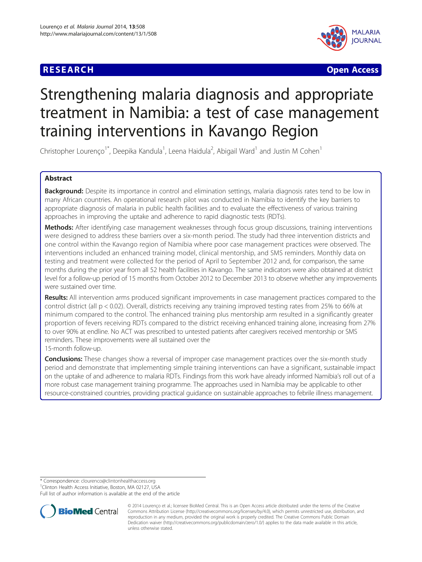



# Strengthening malaria diagnosis and appropriate treatment in Namibia: a test of case management training interventions in Kavango Region

Christopher Lourenço<sup>1\*</sup>, Deepika Kandula<sup>1</sup>, Leena Haidula<sup>2</sup>, Abigail Ward<sup>1</sup> and Justin M Cohen<sup>1</sup>

## Abstract

Background: Despite its importance in control and elimination settings, malaria diagnosis rates tend to be low in many African countries. An operational research pilot was conducted in Namibia to identify the key barriers to appropriate diagnosis of malaria in public health facilities and to evaluate the effectiveness of various training approaches in improving the uptake and adherence to rapid diagnostic tests (RDTs).

Methods: After identifying case management weaknesses through focus group discussions, training interventions were designed to address these barriers over a six-month period. The study had three intervention districts and one control within the Kavango region of Namibia where poor case management practices were observed. The interventions included an enhanced training model, clinical mentorship, and SMS reminders. Monthly data on testing and treatment were collected for the period of April to September 2012 and, for comparison, the same months during the prior year from all 52 health facilities in Kavango. The same indicators were also obtained at district level for a follow-up period of 15 months from October 2012 to December 2013 to observe whether any improvements were sustained over time.

Results: All intervention arms produced significant improvements in case management practices compared to the control district (all p < 0.02). Overall, districts receiving any training improved testing rates from 25% to 66% at minimum compared to the control. The enhanced training plus mentorship arm resulted in a significantly greater proportion of fevers receiving RDTs compared to the district receiving enhanced training alone, increasing from 27% to over 90% at endline. No ACT was prescribed to untested patients after caregivers received mentorship or SMS reminders. These improvements were all sustained over the 15-month follow-up.

**Conclusions:** These changes show a reversal of improper case management practices over the six-month study period and demonstrate that implementing simple training interventions can have a significant, sustainable impact on the uptake of and adherence to malaria RDTs. Findings from this work have already informed Namibia's roll out of a more robust case management training programme. The approaches used in Namibia may be applicable to other resource-constrained countries, providing practical guidance on sustainable approaches to febrile illness management.

\* Correspondence: [clourenco@clintonhealthaccess.org](mailto:clourenco@clintonhealthaccess.org) <sup>1</sup>

<sup>1</sup> Clinton Health Access Initiative, Boston, MA 02127, USA

Full list of author information is available at the end of the article



<sup>© 2014</sup> Lourenço et al.; licensee BioMed Central. This is an Open Access article distributed under the terms of the Creative Commons Attribution License [\(http://creativecommons.org/licenses/by/4.0\)](http://creativecommons.org/licenses/by/4.0), which permits unrestricted use, distribution, and reproduction in any medium, provided the original work is properly credited. The Creative Commons Public Domain Dedication waiver [\(http://creativecommons.org/publicdomain/zero/1.0/](http://creativecommons.org/publicdomain/zero/1.0/)) applies to the data made available in this article, unless otherwise stated.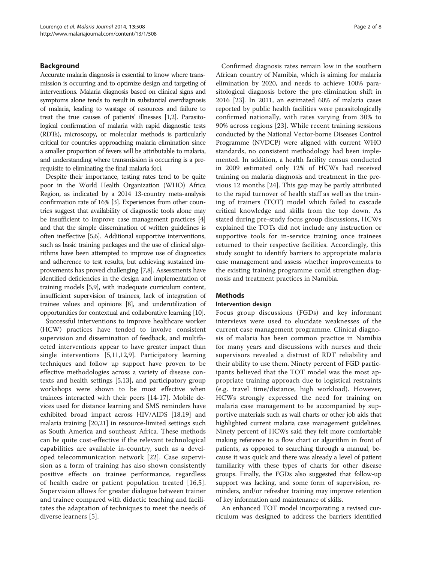## Background

Accurate malaria diagnosis is essential to know where transmission is occurring and to optimize design and targeting of interventions. Malaria diagnosis based on clinical signs and symptoms alone tends to result in substantial overdiagnosis of malaria, leading to wastage of resources and failure to treat the true causes of patients' illnesses [\[1,2](#page-6-0)]. Parasitological confirmation of malaria with rapid diagnostic tests (RDTs), microscopy, or molecular methods is particularly critical for countries approaching malaria elimination since a smaller proportion of fevers will be attributable to malaria, and understanding where transmission is occurring is a prerequisite to eliminating the final malaria foci.

Despite their importance, testing rates tend to be quite poor in the World Health Organization (WHO) Africa Region, as indicated by a 2014 13-country meta-analysis confirmation rate of 16% [\[3\]](#page-7-0). Experiences from other countries suggest that availability of diagnostic tools alone may be insufficient to improve case management practices [[4](#page-7-0)] and that the simple dissemination of written guidelines is often ineffective [[5,6](#page-7-0)]. Additional supportive interventions, such as basic training packages and the use of clinical algorithms have been attempted to improve use of diagnostics and adherence to test results, but achieving sustained improvements has proved challenging [\[7,8\]](#page-7-0). Assessments have identified deficiencies in the design and implementation of training models [\[5,9](#page-7-0)], with inadequate curriculum content, insufficient supervision of trainees, lack of integration of trainee values and opinions [\[8\]](#page-7-0), and underutilization of opportunities for contextual and collaborative learning [\[10\]](#page-7-0).

Successful interventions to improve healthcare worker (HCW) practices have tended to involve consistent supervision and dissemination of feedback, and multifaceted interventions appear to have greater impact than single interventions [[5](#page-7-0),[11](#page-7-0),[12](#page-7-0),[9](#page-7-0)]. Participatory learning techniques and follow up support have proven to be effective methodologies across a variety of disease contexts and health settings [[5,13\]](#page-7-0), and participatory group workshops were shown to be most effective when trainees interacted with their peers [[14-17\]](#page-7-0). Mobile devices used for distance learning and SMS reminders have exhibited broad impact across HIV/AIDS [\[18,19\]](#page-7-0) and malaria training [\[20,21\]](#page-7-0) in resource-limited settings such as South America and southeast Africa. These methods can be quite cost-effective if the relevant technological capabilities are available in-country, such as a developed telecommunication network [[22](#page-7-0)]. Case supervision as a form of training has also shown consistently positive effects on trainee performance, regardless of health cadre or patient population treated [\[16,5](#page-7-0)]. Supervision allows for greater dialogue between trainer and trainee compared with didactic teaching and facilitates the adaptation of techniques to meet the needs of diverse learners [[5](#page-7-0)].

Confirmed diagnosis rates remain low in the southern African country of Namibia, which is aiming for malaria elimination by 2020, and needs to achieve 100% parasitological diagnosis before the pre-elimination shift in 2016 [\[23\]](#page-7-0). In 2011, an estimated 60% of malaria cases reported by public health facilities were parasitologically confirmed nationally, with rates varying from 30% to 90% across regions [\[23](#page-7-0)]. While recent training sessions conducted by the National Vector-borne Diseases Control Programme (NVDCP) were aligned with current WHO standards, no consistent methodology had been implemented. In addition, a health facility census conducted in 2009 estimated only 12% of HCWs had received training on malaria diagnosis and treatment in the previous 12 months [\[24](#page-7-0)]. This gap may be partly attributed to the rapid turnover of health staff as well as the training of trainers (TOT) model which failed to cascade critical knowledge and skills from the top down. As stated during pre-study focus group discussions, HCWs explained the TOTs did not include any instruction or supportive tools for in-service training once trainees returned to their respective facilities. Accordingly, this study sought to identify barriers to appropriate malaria case management and assess whether improvements to the existing training programme could strengthen diagnosis and treatment practices in Namibia.

#### Methods

#### Intervention design

Focus group discussions (FGDs) and key informant interviews were used to elucidate weaknesses of the current case management programme. Clinical diagnosis of malaria has been common practice in Namibia for many years and discussions with nurses and their supervisors revealed a distrust of RDT reliability and their ability to use them. Ninety percent of FGD participants believed that the TOT model was the most appropriate training approach due to logistical restraints (e.g. travel time/distance, high workload). However, HCWs strongly expressed the need for training on malaria case management to be accompanied by supportive materials such as wall charts or other job aids that highlighted current malaria case management guidelines. Ninety percent of HCWs said they felt more comfortable making reference to a flow chart or algorithm in front of patients, as opposed to searching through a manual, because it was quick and there was already a level of patient familiarity with these types of charts for other disease groups. Finally, the FGDs also suggested that follow-up support was lacking, and some form of supervision, reminders, and/or refresher training may improve retention of key information and maintenance of skills.

An enhanced TOT model incorporating a revised curriculum was designed to address the barriers identified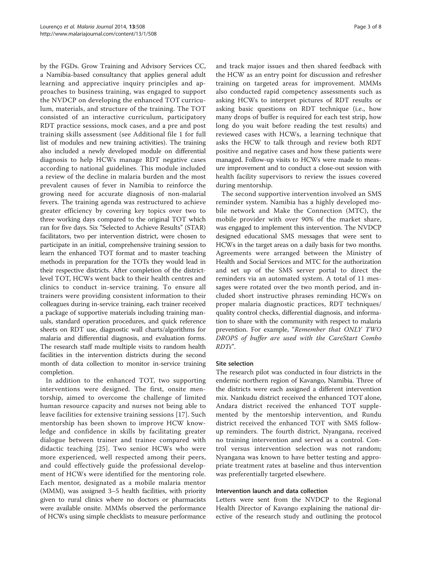by the FGDs. Grow Training and Advisory Services CC, a Namibia-based consultancy that applies general adult learning and appreciative inquiry principles and approaches to business training, was engaged to support the NVDCP on developing the enhanced TOT curriculum, materials, and structure of the training. The TOT consisted of an interactive curriculum, participatory RDT practice sessions, mock cases, and a pre and post training skills assessment (see Additional file [1](#page-6-0) for full list of modules and new training activities). The training also included a newly developed module on differential diagnosis to help HCWs manage RDT negative cases according to national guidelines. This module included a review of the decline in malaria burden and the most prevalent causes of fever in Namibia to reinforce the growing need for accurate diagnosis of non-malarial fevers. The training agenda was restructured to achieve greater efficiency by covering key topics over two to three working days compared to the original TOT which ran for five days. Six "Selected to Achieve Results" (STAR) facilitators, two per intervention district, were chosen to participate in an initial, comprehensive training session to learn the enhanced TOT format and to master teaching methods in preparation for the TOTs they would lead in their respective districts. After completion of the districtlevel TOT, HCWs went back to their health centres and clinics to conduct in-service training. To ensure all trainers were providing consistent information to their colleagues during in-service training, each trainer received a package of supportive materials including training manuals, standard operation procedures, and quick reference sheets on RDT use, diagnostic wall charts/algorithms for malaria and differential diagnosis, and evaluation forms. The research staff made multiple visits to random health facilities in the intervention districts during the second month of data collection to monitor in-service training completion.

In addition to the enhanced TOT, two supporting interventions were designed. The first, onsite mentorship, aimed to overcome the challenge of limited human resource capacity and nurses not being able to leave facilities for extensive training sessions [\[17\]](#page-7-0). Such mentorship has been shown to improve HCW knowledge and confidence in skills by facilitating greater dialogue between trainer and trainee compared with didactic teaching [[25](#page-7-0)]. Two senior HCWs who were more experienced, well respected among their peers, and could effectively guide the professional development of HCWs were identified for the mentoring role. Each mentor, designated as a mobile malaria mentor (MMM), was assigned 3–5 health facilities, with priority given to rural clinics where no doctors or pharmacists were available onsite. MMMs observed the performance of HCWs using simple checklists to measure performance

and track major issues and then shared feedback with the HCW as an entry point for discussion and refresher training on targeted areas for improvement. MMMs also conducted rapid competency assessments such as asking HCWs to interpret pictures of RDT results or asking basic questions on RDT technique (i.e., how many drops of buffer is required for each test strip, how long do you wait before reading the test results) and reviewed cases with HCWs, a learning technique that asks the HCW to talk through and review both RDT positive and negative cases and how these patients were managed. Follow-up visits to HCWs were made to measure improvement and to conduct a close-out session with health facility supervisors to review the issues covered during mentorship.

The second supportive intervention involved an SMS reminder system. Namibia has a highly developed mobile network and Make the Connection (MTC), the mobile provider with over 90% of the market share, was engaged to implement this intervention. The NVDCP designed educational SMS messages that were sent to HCWs in the target areas on a daily basis for two months. Agreements were arranged between the Ministry of Health and Social Services and MTC for the authorization and set up of the SMS server portal to direct the reminders via an automated system. A total of 11 messages were rotated over the two month period, and included short instructive phrases reminding HCWs on proper malaria diagnostic practices, RDT techniques/ quality control checks, differential diagnosis, and information to share with the community with respect to malaria prevention. For example, "Remember that ONLY TWO DROPS of buffer are used with the CareStart Combo RDTs".

## Site selection

The research pilot was conducted in four districts in the endemic northern region of Kavango, Namibia. Three of the districts were each assigned a different intervention mix. Nankudu district received the enhanced TOT alone, Andara district received the enhanced TOT supplemented by the mentorship intervention, and Rundu district received the enhanced TOT with SMS followup reminders. The fourth district, Nyangana, received no training intervention and served as a control. Control versus intervention selection was not random; Nyangana was known to have better testing and appropriate treatment rates at baseline and thus intervention was preferentially targeted elsewhere.

#### Intervention launch and data collection

Letters were sent from the NVDCP to the Regional Health Director of Kavango explaining the national directive of the research study and outlining the protocol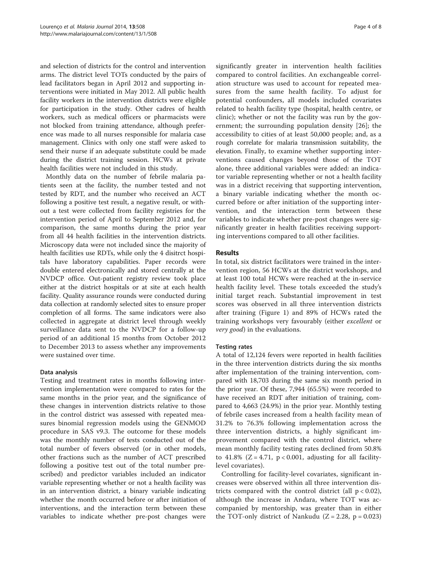and selection of districts for the control and intervention arms. The district level TOTs conducted by the pairs of lead facilitators began in April 2012 and supporting interventions were initiated in May 2012. All public health facility workers in the intervention districts were eligible for participation in the study. Other cadres of health workers, such as medical officers or pharmacists were not blocked from training attendance, although preference was made to all nurses responsible for malaria case management. Clinics with only one staff were asked to send their nurse if an adequate substitute could be made during the district training session. HCWs at private health facilities were not included in this study.

Monthly data on the number of febrile malaria patients seen at the facility, the number tested and not tested by RDT, and the number who received an ACT following a positive test result, a negative result, or without a test were collected from facility registries for the intervention period of April to September 2012 and, for comparison, the same months during the prior year from all 44 health facilities in the intervention districts. Microscopy data were not included since the majority of health facilities use RDTs, while only the 4 disitrct hospitals have laboratory capabilities. Paper records were double entered electronically and stored centrally at the NVDCP office. Out-patient registry review took place either at the district hospitals or at site at each health facility. Quality assurance rounds were conducted during data collection at randomly selected sites to ensure proper completion of all forms. The same indicators were also collected in aggregate at district level through weekly surveillance data sent to the NVDCP for a follow-up period of an additional 15 months from October 2012 to December 2013 to assess whether any improvements were sustained over time.

#### Data analysis

Testing and treatment rates in months following intervention implementation were compared to rates for the same months in the prior year, and the significance of these changes in intervention districts relative to those in the control district was assessed with repeated measures binomial regression models using the GENMOD procedure in SAS v9.3. The outcome for these models was the monthly number of tests conducted out of the total number of fevers observed (or in other models, other fractions such as the number of ACT prescribed following a positive test out of the total number prescribed) and predictor variables included an indicator variable representing whether or not a health facility was in an intervention district, a binary variable indicating whether the month occurred before or after initiation of interventions, and the interaction term between these variables to indicate whether pre-post changes were

significantly greater in intervention health facilities compared to control facilities. An exchangeable correlation structure was used to account for repeated measures from the same health facility. To adjust for potential confounders, all models included covariates related to health facility type (hospital, health centre, or clinic); whether or not the facility was run by the government; the surrounding population density [[26\]](#page-7-0); the accessibility to cities of at least 50,000 people; and, as a rough correlate for malaria transmission suitability, the elevation. Finally, to examine whether supporting interventions caused changes beyond those of the TOT alone, three additional variables were added: an indicator variable representing whether or not a health facility was in a district receiving that supporting intervention, a binary variable indicating whether the month occurred before or after initiation of the supporting intervention, and the interaction term between these variables to indicate whether pre-post changes were significantly greater in health facilities receiving supporting interventions compared to all other facilities.

## Results

In total, six district facilitators were trained in the intervention region, 56 HCWs at the district workshops, and at least 100 total HCWs were reached at the in-service health facility level. These totals exceeded the study's initial target reach. Substantial improvement in test scores was observed in all three intervention districts after training (Figure [1\)](#page-4-0) and 89% of HCWs rated the training workshops very favourably (either excellent or very good) in the evaluations.

#### Testing rates

A total of 12,124 fevers were reported in health facilities in the three intervention districts during the six months after implementation of the training intervention, compared with 18,703 during the same six month period in the prior year. Of these, 7,944 (65.5%) were recorded to have received an RDT after initiation of training, compared to 4,663 (24.9%) in the prior year. Monthly testing of febrile cases increased from a health facility mean of 31.2% to 76.3% following implementation across the three intervention districts, a highly significant improvement compared with the control district, where mean monthly facility testing rates declined from 50.8% to  $41.8\%$  (Z =  $4.71$ , p < 0.001, adjusting for all facilitylevel covariates).

Controlling for facility-level covariates, significant increases were observed within all three intervention districts compared with the control district (all  $p < 0.02$ ), although the increase in Andara, where TOT was accompanied by mentorship, was greater than in either the TOT-only district of Nankudu ( $Z = 2.28$ ,  $p = 0.023$ )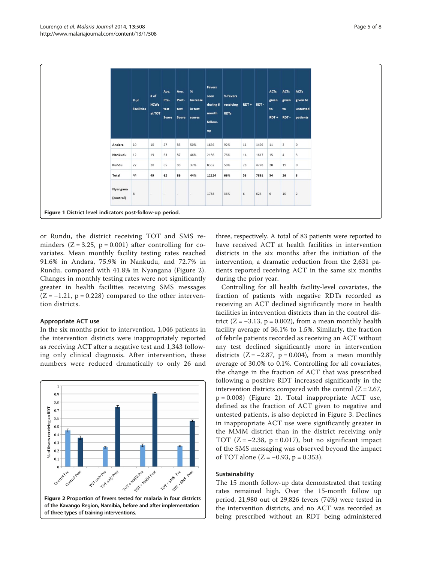<span id="page-4-0"></span>

|                                                           | # of<br><b>Facilities</b> | # of<br><b>HCWs</b><br>at TOT | Ave.<br>Pre-<br>test<br>Score | Ave.<br>Post-<br>test<br>Score | ∣ %<br>Increase<br>in test<br>scores | <b>Fevers</b><br>seen<br>during 6<br>month<br>follow-<br>up | % Fevers<br>receiving<br><b>RDTs</b> | $RDT + RDT -$ |      | <b>ACTs</b><br>given<br>to<br>RDT+ | <b>ACTs</b><br>given<br>to<br>RDT- | <b>ACTs</b><br>given to<br>untested<br>patients |
|-----------------------------------------------------------|---------------------------|-------------------------------|-------------------------------|--------------------------------|--------------------------------------|-------------------------------------------------------------|--------------------------------------|---------------|------|------------------------------------|------------------------------------|-------------------------------------------------|
| Andara                                                    | 10                        | 10                            | 57                            | 83                             | 50%                                  | 1636                                                        | 92%                                  | 11            | 1496 | 11                                 | $\overline{3}$                     | $\circ$                                         |
| Nankudu                                                   | 12                        | 19                            | 63                            | 87                             | 46%                                  | 2156                                                        | 76%                                  | 14            | 1617 | 15                                 | $\overline{4}$                     | 3                                               |
| Rundu                                                     | 22                        | 20                            | 65                            | 88                             | 37%                                  | 8332                                                        | 58%                                  | 28            | 4778 | 28                                 | 19                                 | $\mathsf{O}\xspace$                             |
| Total                                                     | 44                        | 49                            | 62                            | 86                             | 44%                                  | 12124                                                       | 66%                                  | 53            | 7891 | 54                                 | 26                                 | з                                               |
| Nyangana<br>(control)                                     | 8                         | $\sim$                        | $\overline{\phantom{a}}$      | $\overline{\phantom{a}}$       | $\overline{\phantom{a}}$             | 1758                                                        | 36%                                  | $\sqrt{6}$    | 624  | 6                                  | 10                                 | $\vert$ 2                                       |
| Figure 1 District level indicators post-follow-up period. |                           |                               |                               |                                |                                      |                                                             |                                      |               |      |                                    |                                    |                                                 |

or Rundu, the district receiving TOT and SMS reminders  $(Z = 3.25, p = 0.001)$  after controlling for covariates. Mean monthly facility testing rates reached 91.6% in Andara, 75.9% in Nankudu, and 72.7% in Rundu, compared with 41.8% in Nyangana (Figure 2). Changes in monthly testing rates were not significantly greater in health facilities receiving SMS messages  $(Z = -1.21, p = 0.228)$  compared to the other intervention districts.

## Appropriate ACT use

In the six months prior to intervention, 1,046 patients in the intervention districts were inappropriately reported as receiving ACT after a negative test and 1,343 following only clinical diagnosis. After intervention, these numbers were reduced dramatically to only 26 and



three, respectively. A total of 83 patients were reported to have received ACT at health facilities in intervention districts in the six months after the initiation of the intervention, a dramatic reduction from the 2,631 patients reported receiving ACT in the same six months during the prior year.

Controlling for all health facility-level covariates, the fraction of patients with negative RDTs recorded as receiving an ACT declined significantly more in health facilities in intervention districts than in the control district ( $Z = -3.13$ ,  $p = 0.002$ ), from a mean monthly health facility average of 36.1% to 1.5%. Similarly, the fraction of febrile patients recorded as receiving an ACT without any test declined significantly more in intervention districts  $(Z = -2.87, p = 0.004)$ , from a mean monthly average of 30.0% to 0.1%. Controlling for all covariates, the change in the fraction of ACT that was prescribed following a positive RDT increased significantly in the intervention districts compared with the control  $(Z = 2.67)$ , p = 0.008) (Figure 2). Total inappropriate ACT use, defined as the fraction of ACT given to negative and untested patients, is also depicted in Figure [3](#page-5-0). Declines in inappropriate ACT use were significantly greater in the MMM district than in the district receiving only TOT  $(Z = -2.38, p = 0.017)$ , but no significant impact of the SMS messaging was observed beyond the impact of TOT alone ( $Z = -0.93$ ,  $p = 0.353$ ).

#### Sustainability

The 15 month follow-up data demonstrated that testing rates remained high. Over the 15-month follow up period, 21,980 out of 29,826 fevers (74%) were tested in the intervention districts, and no ACT was recorded as being prescribed without an RDT being administered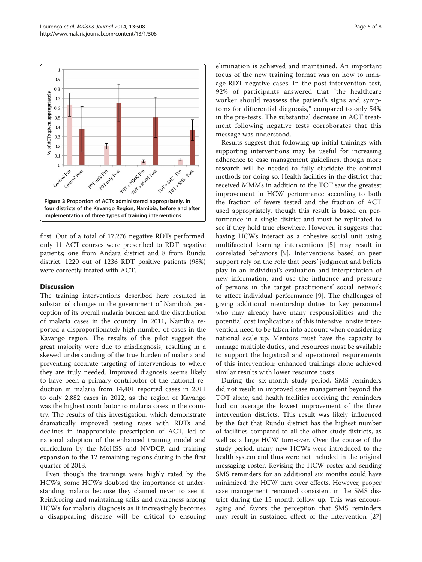<span id="page-5-0"></span>

first. Out of a total of 17,276 negative RDTs performed, only 11 ACT courses were prescribed to RDT negative patients; one from Andara district and 8 from Rundu district. 1220 out of 1236 RDT positive patients (98%) were correctly treated with ACT.

#### **Discussion**

The training interventions described here resulted in substantial changes in the government of Namibia's perception of its overall malaria burden and the distribution of malaria cases in the country. In 2011, Namibia reported a disproportionately high number of cases in the Kavango region. The results of this pilot suggest the great majority were due to misdiagnosis, resulting in a skewed understanding of the true burden of malaria and preventing accurate targeting of interventions to where they are truly needed. Improved diagnosis seems likely to have been a primary contributor of the national reduction in malaria from 14,401 reported cases in 2011 to only 2,882 cases in 2012, as the region of Kavango was the highest contributor to malaria cases in the country. The results of this investigation, which demonstrate dramatically improved testing rates with RDTs and declines in inappropriate prescription of ACT, led to national adoption of the enhanced training model and curriculum by the MoHSS and NVDCP, and training expansion to the 12 remaining regions during in the first quarter of 2013.

Even though the trainings were highly rated by the HCWs, some HCWs doubted the importance of understanding malaria because they claimed never to see it. Reinforcing and maintaining skills and awareness among HCWs for malaria diagnosis as it increasingly becomes a disappearing disease will be critical to ensuring elimination is achieved and maintained. An important focus of the new training format was on how to manage RDT-negative cases. In the post-intervention test, 92% of participants answered that "the healthcare worker should reassess the patient's signs and symptoms for differential diagnosis," compared to only 54% in the pre-tests. The substantial decrease in ACT treatment following negative tests corroborates that this message was understood.

Results suggest that following up initial trainings with supporting interventions may be useful for increasing adherence to case management guidelines, though more research will be needed to fully elucidate the optimal methods for doing so. Health facilities in the district that received MMMs in addition to the TOT saw the greatest improvement in HCW performance according to both the fraction of fevers tested and the fraction of ACT used appropriately, though this result is based on performance in a single district and must be replicated to see if they hold true elsewhere. However, it suggests that having HCWs interact as a cohesive social unit using multifaceted learning interventions [\[5](#page-7-0)] may result in correlated behaviors [[9\]](#page-7-0). Interventions based on peer support rely on the role that peers' judgment and beliefs play in an individual's evaluation and interpretation of new information, and use the influence and pressure of persons in the target practitioners' social network to affect individual performance [[9\]](#page-7-0). The challenges of giving additional mentorship duties to key personnel who may already have many responsibilities and the potential cost implications of this intensive, onsite intervention need to be taken into account when considering national scale up. Mentors must have the capacity to manage multiple duties, and resources must be available to support the logistical and operational requirements of this intervention; enhanced trainings alone achieved similar results with lower resource costs.

During the six-month study period, SMS reminders did not result in improved case management beyond the TOT alone, and health facilities receiving the reminders had on average the lowest improvement of the three intervention districts. This result was likely influenced by the fact that Rundu district has the highest number of facilities compared to all the other study districts, as well as a large HCW turn-over. Over the course of the study period, many new HCWs were introduced to the health system and thus were not included in the original messaging roster. Revising the HCW roster and sending SMS reminders for an additional six months could have minimized the HCW turn over effects. However, proper case management remained consistent in the SMS district during the 15 month follow up. This was encouraging and favors the perception that SMS reminders may result in sustained effect of the intervention [[27](#page-7-0)]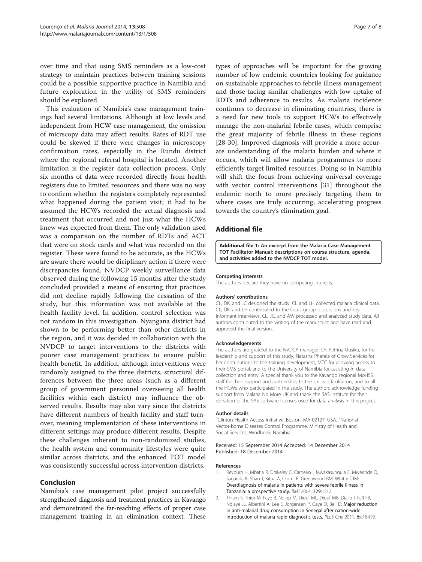<span id="page-6-0"></span>over time and that using SMS reminders as a low-cost strategy to maintain practices between training sessions could be a possible supportive practice in Namibia and future exploration in the utility of SMS reminders should be explored.

This evaluation of Namibia's case management trainings had several limitations. Although at low levels and independent from HCW case management, the omission of micrscopy data may affect results. Rates of RDT use could be skewed if there were changes in microscopy confirmation rates, especially in the Rundu district where the regional referral hospital is located. Another limitation is the register data collection process. Only six months of data were recorded directly from health registers due to limited resources and there was no way to confirm whether the registers completely represented what happened during the patient visit; it had to be assumed the HCWs recorded the actual diagnosis and treatment that occurred and not just what the HCWs knew was expected from them. The only validation used was a comparison on the number of RDTs and ACT that were on stock cards and what was recorded on the register. These were found to be accurate, as the HCWs are aware there would be diciplinary action if there were discrepancies found. NVDCP weekly surveillance data observed during the following 15 months after the study concluded provided a means of ensuring that practices did not decline rapidly following the cessation of the study, but this information was not available at the health facility level. In addition, control selection was not random in this investigation. Nyangana district had shown to be performing better than other districts in the region, and it was decided in collaboration with the NVDCP to target interventions to the districts with poorer case management practices to ensure public health benefit. In addition, although interventions were randomly assigned to the three districts, structural differences between the three areas (such as a different group of government personnel overseeing all health facilities within each district) may influence the observed results. Results may also vary since the districts have different numbers of health facility and staff turnover, meaning implementation of these interventions in different settings may produce different results. Despite these challenges inherent to non-randomized studies, the health system and community lifestyles were quite similar across districts, and the enhanced TOT model was consistently successful across intervention districts.

### Conclusion

Namibia's case management pilot project successfully strengthened diagnosis and treatment practices in Kavango and demonstrated the far-reaching effects of proper case management training in an elimination context. These types of approaches will be important for the growing number of low endemic countries looking for guidance on sustainable approaches to febrile illness management and those facing similar challenges with low uptake of RDTs and adherence to results. As malaria incidence continues to decrease in eliminating countries, there is a need for new tools to support HCWs to effectively manage the non-malarial febrile cases, which comprise the great majority of febrile illness in these regions [[28](#page-7-0)-[30\]](#page-7-0). Improved diagnosis will provide a more accurate understanding of the malaria burden and where it occurs, which will allow malaria programmes to more efficiently target limited resources. Doing so in Namibia will shift the focus from achieving universal coverage with vector control interventions [[31\]](#page-7-0) throughout the endemic north to more precisely targeting them to where cases are truly occurring, accelerating progress towards the country's elimination goal.

## Additional file

[Additional file 1:](http://www.biomedcentral.com/content/supplementary/1475-2875-13-508-S1.pdf) An excerpt from the Malaria Case Management TOT Facilitator Manual: descriptions on course structure, agenda, and activities added to the NVDCP TOT model.

#### Competing interests

The authors declare they have no competing interests.

#### Authors' contributions

CL, DK, and JC designed the study. CL and LH collected malaria clinical data. CL, DK, and LH contributed to the focus group discussions and key informant interviews. CL, JC, and AW processed and analyzed study data. All authors contributed to the writing of the manuscript and have read and approved the final version.

#### Acknowledgements

The authors are grateful to the NVDCP manager, Dr. Petrina Uusiku, for her leadership and support of this study, Natasha Phatela of Grow Services for her contributions to the training development, MTC for allowing access to their SMS portal, and to the University of Namibia for assisting in data collection and entry. A special thank you to the Kavango regional MoHSS staff for their support and partnership, to the six lead facilitators, and to all the HCWs who participated in the study. The authors acknowledge funding support from Malaria No More UK and thank the SAS Institute for their donation of the SAS software licenses used for data analysis in this project.

#### Author details

<sup>1</sup> Clinton Health Access Initiative, Boston, MA 02127, USA. <sup>2</sup>National Vector-borne Diseases Control Programme, Ministry of Health and Social Services, Windhoek, Namibia.

#### Received: 15 September 2014 Accepted: 14 December 2014 Published: 18 December 2014

#### References

- 1. Reyburn H, Mbatia R, Drakeley C, Carneiro I, Mwakasungula E, Mwerinde O, Saganda K, Shao J, Kitua A, Olomi R, Greenwood BM, Whitty CJM: Overdiagnosis of malaria in patients with severe febrile illness in Tanzania: a prospective study. BMJ 2004, 329:1212.
- 2. Thiam S, Thior M, Faye B, Ndiop M, Diouf ML, Diouf MB, Diallo I, Fall FB, Ndiaye JL, Albertini A, Lee E, Jorgensen P, Gaye O, Bell D: Major reduction in anti-malarial drug consumption in Senegal after nation-wide introduction of malaria rapid diagnostic tests. PLoS One 2011, 6:e18419.